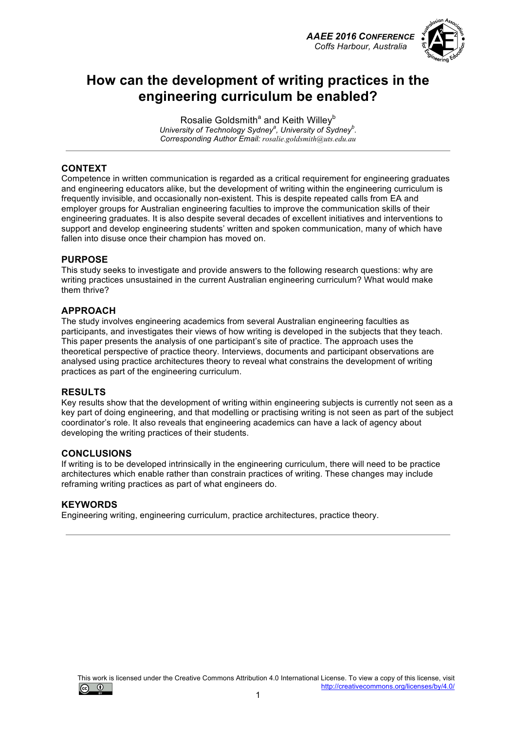



# **How can the development of writing practices in the engineering curriculum be enabled?**

Rosalie Goldsmith<sup>a</sup> and Keith Willey<sup>b</sup> University of Technology Sydney<sup>2</sup>, University of Sydney<sup>b</sup>. *Corresponding Author Email: rosalie.goldsmith@uts.edu.au*

### **CONTEXT**

Competence in written communication is regarded as a critical requirement for engineering graduates and engineering educators alike, but the development of writing within the engineering curriculum is frequently invisible, and occasionally non-existent. This is despite repeated calls from EA and employer groups for Australian engineering faculties to improve the communication skills of their engineering graduates. It is also despite several decades of excellent initiatives and interventions to support and develop engineering students' written and spoken communication, many of which have fallen into disuse once their champion has moved on.

#### **PURPOSE**

This study seeks to investigate and provide answers to the following research questions: why are writing practices unsustained in the current Australian engineering curriculum? What would make them thrive?

#### **APPROACH**

The study involves engineering academics from several Australian engineering faculties as participants, and investigates their views of how writing is developed in the subjects that they teach. This paper presents the analysis of one participant's site of practice. The approach uses the theoretical perspective of practice theory. Interviews, documents and participant observations are analysed using practice architectures theory to reveal what constrains the development of writing practices as part of the engineering curriculum.

#### **RESULTS**

Key results show that the development of writing within engineering subjects is currently not seen as a key part of doing engineering, and that modelling or practising writing is not seen as part of the subject coordinator's role. It also reveals that engineering academics can have a lack of agency about developing the writing practices of their students.

#### **CONCLUSIONS**

If writing is to be developed intrinsically in the engineering curriculum, there will need to be practice architectures which enable rather than constrain practices of writing. These changes may include reframing writing practices as part of what engineers do.

#### **KEYWORDS**

Engineering writing, engineering curriculum, practice architectures, practice theory.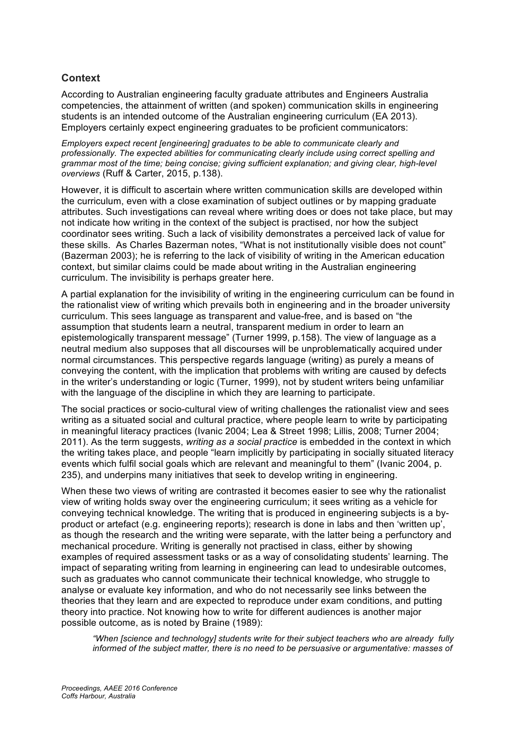### **Context**

According to Australian engineering faculty graduate attributes and Engineers Australia competencies, the attainment of written (and spoken) communication skills in engineering students is an intended outcome of the Australian engineering curriculum (EA 2013). Employers certainly expect engineering graduates to be proficient communicators:

*Employers expect recent [engineering] graduates to be able to communicate clearly and professionally. The expected abilities for communicating clearly include using correct spelling and grammar most of the time; being concise; giving sufficient explanation; and giving clear, high-level overviews* (Ruff & Carter, 2015, p.138).

However, it is difficult to ascertain where written communication skills are developed within the curriculum, even with a close examination of subject outlines or by mapping graduate attributes. Such investigations can reveal where writing does or does not take place, but may not indicate how writing in the context of the subject is practised, nor how the subject coordinator sees writing. Such a lack of visibility demonstrates a perceived lack of value for these skills. As Charles Bazerman notes, "What is not institutionally visible does not count" (Bazerman 2003); he is referring to the lack of visibility of writing in the American education context, but similar claims could be made about writing in the Australian engineering curriculum. The invisibility is perhaps greater here.

A partial explanation for the invisibility of writing in the engineering curriculum can be found in the rationalist view of writing which prevails both in engineering and in the broader university curriculum. This sees language as transparent and value-free, and is based on "the assumption that students learn a neutral, transparent medium in order to learn an epistemologically transparent message" (Turner 1999, p.158). The view of language as a neutral medium also supposes that all discourses will be unproblematically acquired under normal circumstances. This perspective regards language (writing) as purely a means of conveying the content, with the implication that problems with writing are caused by defects in the writer's understanding or logic (Turner, 1999), not by student writers being unfamiliar with the language of the discipline in which they are learning to participate.

The social practices or socio-cultural view of writing challenges the rationalist view and sees writing as a situated social and cultural practice, where people learn to write by participating in meaningful literacy practices (Ivanic 2004; Lea & Street 1998; Lillis, 2008; Turner 2004; 2011). As the term suggests, *writing as a social practice* is embedded in the context in which the writing takes place, and people "learn implicitly by participating in socially situated literacy events which fulfil social goals which are relevant and meaningful to them" (Ivanic 2004, p. 235), and underpins many initiatives that seek to develop writing in engineering.

When these two views of writing are contrasted it becomes easier to see why the rationalist view of writing holds sway over the engineering curriculum; it sees writing as a vehicle for conveying technical knowledge. The writing that is produced in engineering subjects is a byproduct or artefact (e.g. engineering reports); research is done in labs and then 'written up', as though the research and the writing were separate, with the latter being a perfunctory and mechanical procedure. Writing is generally not practised in class, either by showing examples of required assessment tasks or as a way of consolidating students' learning. The impact of separating writing from learning in engineering can lead to undesirable outcomes, such as graduates who cannot communicate their technical knowledge, who struggle to analyse or evaluate key information, and who do not necessarily see links between the theories that they learn and are expected to reproduce under exam conditions, and putting theory into practice. Not knowing how to write for different audiences is another major possible outcome, as is noted by Braine (1989):

*"When [science and technology] students write for their subject teachers who are already fully informed of the subject matter, there is no need to be persuasive or argumentative: masses of*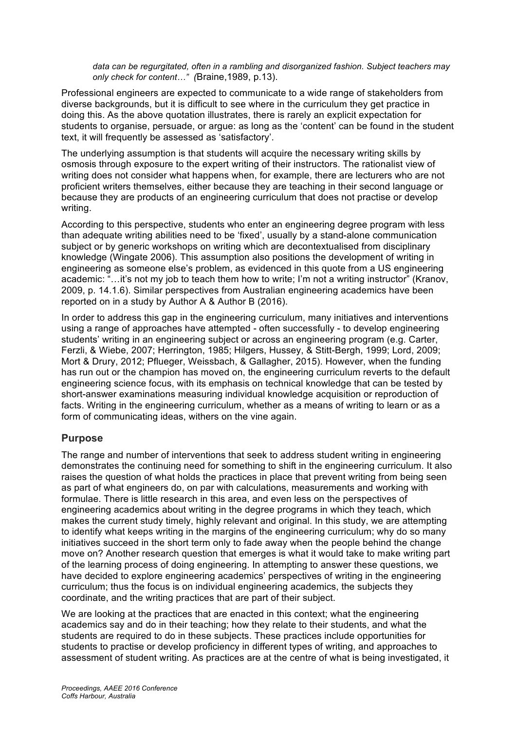*data can be regurgitated, often in a rambling and disorganized fashion. Subject teachers may only check for content…" (*Braine,1989, p.13).

Professional engineers are expected to communicate to a wide range of stakeholders from diverse backgrounds, but it is difficult to see where in the curriculum they get practice in doing this. As the above quotation illustrates, there is rarely an explicit expectation for students to organise, persuade, or argue: as long as the 'content' can be found in the student text, it will frequently be assessed as 'satisfactory'.

The underlying assumption is that students will acquire the necessary writing skills by osmosis through exposure to the expert writing of their instructors. The rationalist view of writing does not consider what happens when, for example, there are lecturers who are not proficient writers themselves, either because they are teaching in their second language or because they are products of an engineering curriculum that does not practise or develop writing.

According to this perspective, students who enter an engineering degree program with less than adequate writing abilities need to be 'fixed', usually by a stand-alone communication subject or by generic workshops on writing which are decontextualised from disciplinary knowledge (Wingate 2006). This assumption also positions the development of writing in engineering as someone else's problem, as evidenced in this quote from a US engineering academic: "…it's not my job to teach them how to write; I'm not a writing instructor" (Kranov, 2009, p. 14.1.6). Similar perspectives from Australian engineering academics have been reported on in a study by Author A & Author B (2016).

In order to address this gap in the engineering curriculum, many initiatives and interventions using a range of approaches have attempted - often successfully - to develop engineering students' writing in an engineering subject or across an engineering program (e.g. Carter, Ferzli, & Wiebe, 2007; Herrington, 1985; Hilgers, Hussey, & Stitt-Bergh, 1999; Lord, 2009; Mort & Drury, 2012; Pflueger, Weissbach, & Gallagher, 2015). However, when the funding has run out or the champion has moved on, the engineering curriculum reverts to the default engineering science focus, with its emphasis on technical knowledge that can be tested by short-answer examinations measuring individual knowledge acquisition or reproduction of facts. Writing in the engineering curriculum, whether as a means of writing to learn or as a form of communicating ideas, withers on the vine again.

#### **Purpose**

The range and number of interventions that seek to address student writing in engineering demonstrates the continuing need for something to shift in the engineering curriculum. It also raises the question of what holds the practices in place that prevent writing from being seen as part of what engineers do, on par with calculations, measurements and working with formulae. There is little research in this area, and even less on the perspectives of engineering academics about writing in the degree programs in which they teach, which makes the current study timely, highly relevant and original. In this study, we are attempting to identify what keeps writing in the margins of the engineering curriculum; why do so many initiatives succeed in the short term only to fade away when the people behind the change move on? Another research question that emerges is what it would take to make writing part of the learning process of doing engineering. In attempting to answer these questions, we have decided to explore engineering academics' perspectives of writing in the engineering curriculum; thus the focus is on individual engineering academics, the subjects they coordinate, and the writing practices that are part of their subject.

We are looking at the practices that are enacted in this context; what the engineering academics say and do in their teaching; how they relate to their students, and what the students are required to do in these subjects. These practices include opportunities for students to practise or develop proficiency in different types of writing, and approaches to assessment of student writing. As practices are at the centre of what is being investigated, it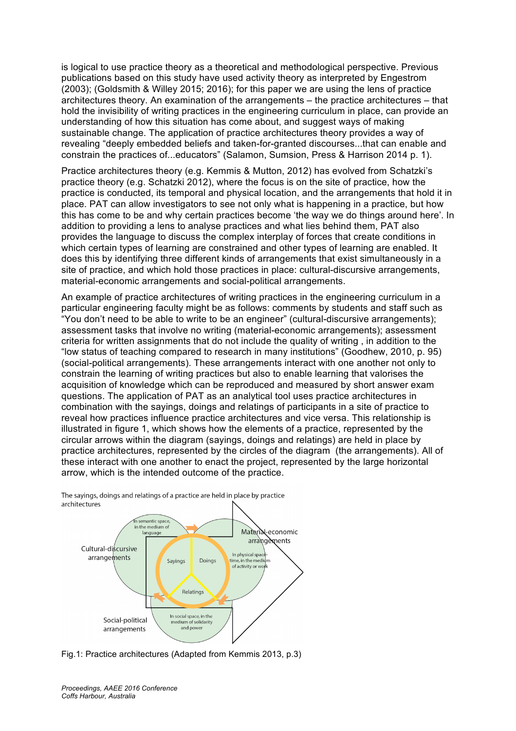is logical to use practice theory as a theoretical and methodological perspective. Previous publications based on this study have used activity theory as interpreted by Engestrom (2003); (Goldsmith & Willey 2015; 2016); for this paper we are using the lens of practice architectures theory. An examination of the arrangements – the practice architectures – that hold the invisibility of writing practices in the engineering curriculum in place, can provide an understanding of how this situation has come about, and suggest ways of making sustainable change. The application of practice architectures theory provides a way of revealing "deeply embedded beliefs and taken-for-granted discourses...that can enable and constrain the practices of...educators" (Salamon, Sumsion, Press & Harrison 2014 p. 1).

Practice architectures theory (e.g. Kemmis & Mutton, 2012) has evolved from Schatzki's practice theory (e.g. Schatzki 2012), where the focus is on the site of practice, how the practice is conducted, its temporal and physical location, and the arrangements that hold it in place. PAT can allow investigators to see not only what is happening in a practice, but how this has come to be and why certain practices become 'the way we do things around here'. In addition to providing a lens to analyse practices and what lies behind them, PAT also provides the language to discuss the complex interplay of forces that create conditions in which certain types of learning are constrained and other types of learning are enabled. It does this by identifying three different kinds of arrangements that exist simultaneously in a site of practice, and which hold those practices in place: cultural-discursive arrangements, material-economic arrangements and social-political arrangements.

An example of practice architectures of writing practices in the engineering curriculum in a particular engineering faculty might be as follows: comments by students and staff such as "You don't need to be able to write to be an engineer" (cultural-discursive arrangements); assessment tasks that involve no writing (material-economic arrangements); assessment criteria for written assignments that do not include the quality of writing , in addition to the "low status of teaching compared to research in many institutions" (Goodhew, 2010, p. 95) (social-political arrangements). These arrangements interact with one another not only to constrain the learning of writing practices but also to enable learning that valorises the acquisition of knowledge which can be reproduced and measured by short answer exam questions. The application of PAT as an analytical tool uses practice architectures in combination with the sayings, doings and relatings of participants in a site of practice to reveal how practices influence practice architectures and vice versa. This relationship is illustrated in figure 1, which shows how the elements of a practice, represented by the circular arrows within the diagram (sayings, doings and relatings) are held in place by practice architectures, represented by the circles of the diagram (the arrangements). All of these interact with one another to enact the project, represented by the large horizontal arrow, which is the intended outcome of the practice.



The sayings, doings and relatings of a practice are held in place by practice architectures

Fig.1: Practice architectures (Adapted from Kemmis 2013, p.3)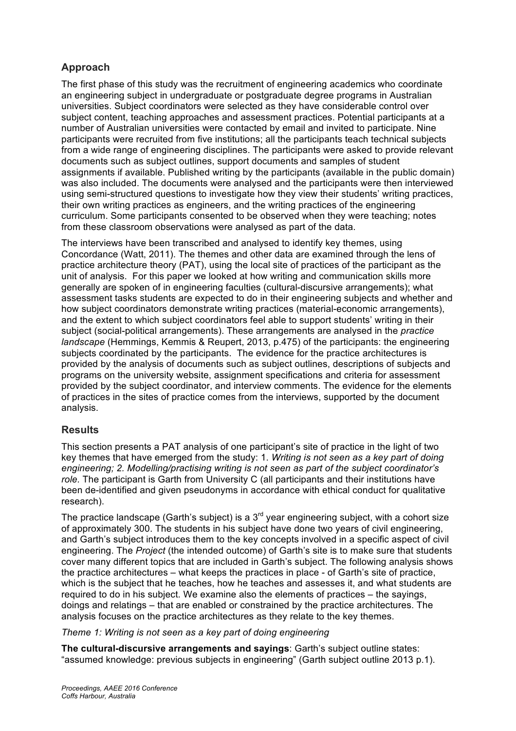## **Approach**

The first phase of this study was the recruitment of engineering academics who coordinate an engineering subject in undergraduate or postgraduate degree programs in Australian universities. Subject coordinators were selected as they have considerable control over subject content, teaching approaches and assessment practices. Potential participants at a number of Australian universities were contacted by email and invited to participate. Nine participants were recruited from five institutions; all the participants teach technical subjects from a wide range of engineering disciplines. The participants were asked to provide relevant documents such as subject outlines, support documents and samples of student assignments if available. Published writing by the participants (available in the public domain) was also included. The documents were analysed and the participants were then interviewed using semi-structured questions to investigate how they view their students' writing practices, their own writing practices as engineers, and the writing practices of the engineering curriculum. Some participants consented to be observed when they were teaching; notes from these classroom observations were analysed as part of the data.

The interviews have been transcribed and analysed to identify key themes, using Concordance (Watt, 2011). The themes and other data are examined through the lens of practice architecture theory (PAT), using the local site of practices of the participant as the unit of analysis. For this paper we looked at how writing and communication skills more generally are spoken of in engineering faculties (cultural-discursive arrangements); what assessment tasks students are expected to do in their engineering subjects and whether and how subject coordinators demonstrate writing practices (material-economic arrangements), and the extent to which subject coordinators feel able to support students' writing in their subject (social-political arrangements). These arrangements are analysed in the *practice landscape* (Hemmings, Kemmis & Reupert, 2013, p.475) of the participants: the engineering subjects coordinated by the participants. The evidence for the practice architectures is provided by the analysis of documents such as subject outlines, descriptions of subjects and programs on the university website, assignment specifications and criteria for assessment provided by the subject coordinator, and interview comments. The evidence for the elements of practices in the sites of practice comes from the interviews, supported by the document analysis.

### **Results**

This section presents a PAT analysis of one participant's site of practice in the light of two key themes that have emerged from the study: 1. *Writing is not seen as a key part of doing engineering; 2. Modelling/practising writing is not seen as part of the subject coordinator's role.* The participant is Garth from University C (all participants and their institutions have been de-identified and given pseudonyms in accordance with ethical conduct for qualitative research).

The practice landscape (Garth's subject) is a  $3<sup>rd</sup>$  year engineering subject, with a cohort size of approximately 300. The students in his subject have done two years of civil engineering, and Garth's subject introduces them to the key concepts involved in a specific aspect of civil engineering. The *Project* (the intended outcome) of Garth's site is to make sure that students cover many different topics that are included in Garth's subject. The following analysis shows the practice architectures – what keeps the practices in place - of Garth's site of practice, which is the subject that he teaches, how he teaches and assesses it, and what students are required to do in his subject. We examine also the elements of practices – the sayings, doings and relatings – that are enabled or constrained by the practice architectures. The analysis focuses on the practice architectures as they relate to the key themes.

*Theme 1: Writing is not seen as a key part of doing engineering*

**The cultural-discursive arrangements and sayings**: Garth's subject outline states: "assumed knowledge: previous subjects in engineering" (Garth subject outline 2013 p.1).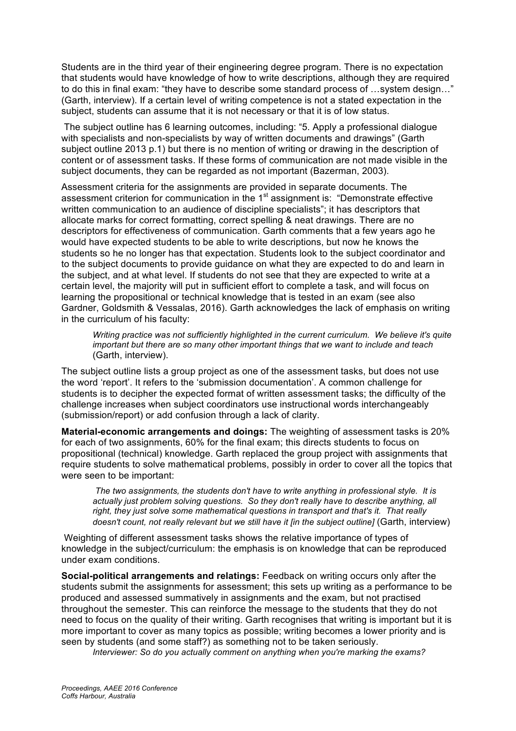Students are in the third year of their engineering degree program. There is no expectation that students would have knowledge of how to write descriptions, although they are required to do this in final exam: "they have to describe some standard process of …system design…" (Garth, interview). If a certain level of writing competence is not a stated expectation in the subject, students can assume that it is not necessary or that it is of low status.

The subject outline has 6 learning outcomes, including: "5. Apply a professional dialogue with specialists and non-specialists by way of written documents and drawings" (Garth subject outline 2013 p.1) but there is no mention of writing or drawing in the description of content or of assessment tasks. If these forms of communication are not made visible in the subject documents, they can be regarded as not important (Bazerman, 2003).

Assessment criteria for the assignments are provided in separate documents. The assessment criterion for communication in the  $1<sup>st</sup>$  assignment is: "Demonstrate effective written communication to an audience of discipline specialists"; it has descriptors that allocate marks for correct formatting, correct spelling & neat drawings. There are no descriptors for effectiveness of communication. Garth comments that a few years ago he would have expected students to be able to write descriptions, but now he knows the students so he no longer has that expectation. Students look to the subject coordinator and to the subject documents to provide guidance on what they are expected to do and learn in the subject, and at what level. If students do not see that they are expected to write at a certain level, the majority will put in sufficient effort to complete a task, and will focus on learning the propositional or technical knowledge that is tested in an exam (see also Gardner, Goldsmith & Vessalas, 2016). Garth acknowledges the lack of emphasis on writing in the curriculum of his faculty:

*Writing practice was not sufficiently highlighted in the current curriculum. We believe it's quite important but there are so many other important things that we want to include and teach* (Garth, interview).

The subject outline lists a group project as one of the assessment tasks, but does not use the word 'report'. It refers to the 'submission documentation'. A common challenge for students is to decipher the expected format of written assessment tasks; the difficulty of the challenge increases when subject coordinators use instructional words interchangeably (submission/report) or add confusion through a lack of clarity.

**Material-economic arrangements and doings:** The weighting of assessment tasks is 20% for each of two assignments, 60% for the final exam; this directs students to focus on propositional (technical) knowledge. Garth replaced the group project with assignments that require students to solve mathematical problems, possibly in order to cover all the topics that were seen to be important:

*The two assignments, the students don't have to write anything in professional style. It is actually just problem solving questions. So they don't really have to describe anything, all right, they just solve some mathematical questions in transport and that's it. That really doesn't count, not really relevant but we still have it [in the subject outline]* (Garth, interview)

Weighting of different assessment tasks shows the relative importance of types of knowledge in the subject/curriculum: the emphasis is on knowledge that can be reproduced under exam conditions.

**Social-political arrangements and relatings:** Feedback on writing occurs only after the students submit the assignments for assessment; this sets up writing as a performance to be produced and assessed summatively in assignments and the exam, but not practised throughout the semester. This can reinforce the message to the students that they do not need to focus on the quality of their writing. Garth recognises that writing is important but it is more important to cover as many topics as possible; writing becomes a lower priority and is seen by students (and some staff?) as something not to be taken seriously.

*Interviewer: So do you actually comment on anything when you're marking the exams?*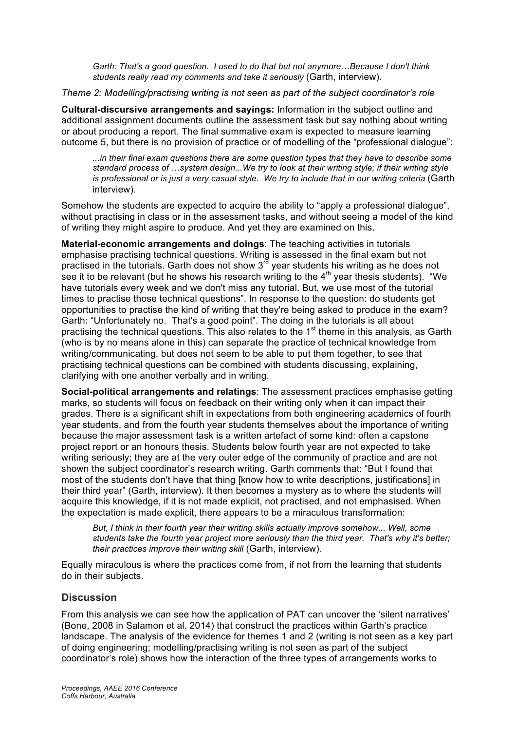*Garth: That's a good question. I used to do that but not anymore…Because I don't think students really read my comments and take it seriously* (Garth, interview).

*Theme 2: Modelling/practising writing is not seen as part of the subject coordinator's role*

**Cultural-discursive arrangements and sayings:** Information in the subject outline and additional assignment documents outline the assessment task but say nothing about writing or about producing a report. The final summative exam is expected to measure learning outcome 5, but there is no provision of practice or of modelling of the "professional dialogue":

*...in their final exam questions there are some question types that they have to describe some standard process of …system design...We try to look at their writing style; if their writing style is professional or is just a very casual style. We try to include that in our writing criteria* (Garth interview).

Somehow the students are expected to acquire the ability to "apply a professional dialogue", without practising in class or in the assessment tasks, and without seeing a model of the kind of writing they might aspire to produce. And yet they are examined on this.

**Material-economic arrangements and doings**: The teaching activities in tutorials emphasise practising technical questions. Writing is assessed in the final exam but not practised in the tutorials. Garth does not show  $3<sup>rd</sup>$  year students his writing as he does not see it to be relevant (but he shows his research writing to the  $4<sup>th</sup>$  year thesis students). "We have tutorials every week and we don't miss any tutorial. But, we use most of the tutorial times to practise those technical questions". In response to the question: do students get opportunities to practise the kind of writing that they're being asked to produce in the exam? Garth: "Unfortunately no. That's a good point". The doing in the tutorials is all about practising the technical questions. This also relates to the 1<sup>st</sup> theme in this analysis, as Garth (who is by no means alone in this) can separate the practice of technical knowledge from writing/communicating, but does not seem to be able to put them together, to see that practising technical questions can be combined with students discussing, explaining, clarifying with one another verbally and in writing.

**Social-political arrangements and relatings**: The assessment practices emphasise getting marks, so students will focus on feedback on their writing only when it can impact their grades. There is a significant shift in expectations from both engineering academics of fourth year students, and from the fourth year students themselves about the importance of writing because the major assessment task is a written artefact of some kind: often a capstone project report or an honours thesis. Students below fourth year are not expected to take writing seriously; they are at the very outer edge of the community of practice and are not shown the subject coordinator's research writing. Garth comments that: "But I found that most of the students don't have that thing [know how to write descriptions, justifications] in their third year" (Garth, interview). It then becomes a mystery as to where the students will acquire this knowledge, if it is not made explicit, not practised, and not emphasised. When the expectation is made explicit, there appears to be a miraculous transformation:

*But, I think in their fourth year their writing skills actually improve somehow... Well, some students take the fourth year project more seriously than the third year. That's why it's better; their practices improve their writing skill* (Garth, interview).

Equally miraculous is where the practices come from, if not from the learning that students do in their subjects.

### **Discussion**

From this analysis we can see how the application of PAT can uncover the 'silent narratives' (Bone, 2008 in Salamon et al. 2014) that construct the practices within Garth's practice landscape. The analysis of the evidence for themes 1 and 2 (writing is not seen as a key part of doing engineering; modelling/practising writing is not seen as part of the subject coordinator's role) shows how the interaction of the three types of arrangements works to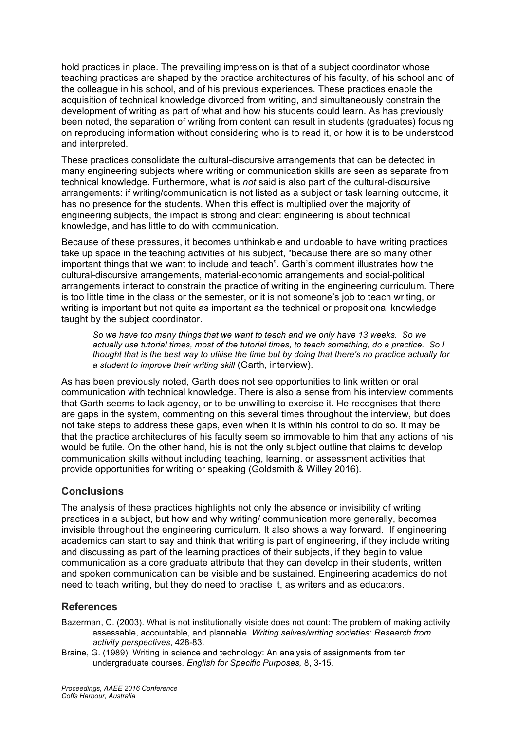hold practices in place. The prevailing impression is that of a subject coordinator whose teaching practices are shaped by the practice architectures of his faculty, of his school and of the colleague in his school, and of his previous experiences. These practices enable the acquisition of technical knowledge divorced from writing, and simultaneously constrain the development of writing as part of what and how his students could learn. As has previously been noted, the separation of writing from content can result in students (graduates) focusing on reproducing information without considering who is to read it, or how it is to be understood and interpreted.

These practices consolidate the cultural-discursive arrangements that can be detected in many engineering subjects where writing or communication skills are seen as separate from technical knowledge. Furthermore, what is *not* said is also part of the cultural-discursive arrangements: if writing/communication is not listed as a subject or task learning outcome, it has no presence for the students. When this effect is multiplied over the majority of engineering subjects, the impact is strong and clear: engineering is about technical knowledge, and has little to do with communication.

Because of these pressures, it becomes unthinkable and undoable to have writing practices take up space in the teaching activities of his subject, "because there are so many other important things that we want to include and teach". Garth's comment illustrates how the cultural-discursive arrangements, material-economic arrangements and social-political arrangements interact to constrain the practice of writing in the engineering curriculum. There is too little time in the class or the semester, or it is not someone's job to teach writing, or writing is important but not quite as important as the technical or propositional knowledge taught by the subject coordinator.

*So we have too many things that we want to teach and we only have 13 weeks. So we actually use tutorial times, most of the tutorial times, to teach something, do a practice. So I thought that is the best way to utilise the time but by doing that there's no practice actually for a student to improve their writing skill* (Garth, interview).

As has been previously noted, Garth does not see opportunities to link written or oral communication with technical knowledge. There is also a sense from his interview comments that Garth seems to lack agency, or to be unwilling to exercise it. He recognises that there are gaps in the system, commenting on this several times throughout the interview, but does not take steps to address these gaps, even when it is within his control to do so. It may be that the practice architectures of his faculty seem so immovable to him that any actions of his would be futile. On the other hand, his is not the only subject outline that claims to develop communication skills without including teaching, learning, or assessment activities that provide opportunities for writing or speaking (Goldsmith & Willey 2016).

### **Conclusions**

The analysis of these practices highlights not only the absence or invisibility of writing practices in a subject, but how and why writing/ communication more generally, becomes invisible throughout the engineering curriculum. It also shows a way forward. If engineering academics can start to say and think that writing is part of engineering, if they include writing and discussing as part of the learning practices of their subjects, if they begin to value communication as a core graduate attribute that they can develop in their students, written and spoken communication can be visible and be sustained. Engineering academics do not need to teach writing, but they do need to practise it, as writers and as educators.

### **References**

Bazerman, C. (2003). What is not institutionally visible does not count: The problem of making activity assessable, accountable, and plannable. *Writing selves/writing societies: Research from activity perspectives*, 428-83.

Braine, G. (1989). Writing in science and technology: An analysis of assignments from ten undergraduate courses. *English for Specific Purposes,* 8, 3-15.